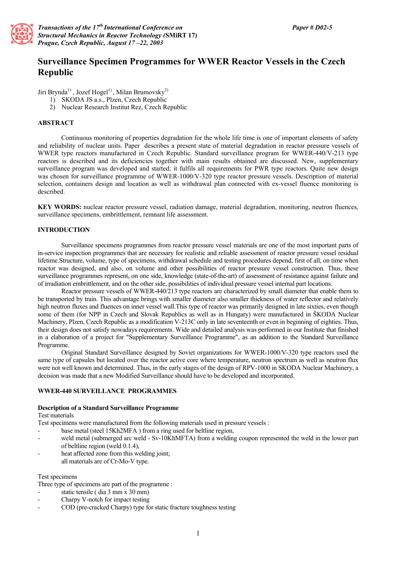

*Transactions of the 17th International Conference on Structural Mechanics in Reactor Technology (***SMiRT 17)** *Prague, Czech Republic, August 17 –22, 2003*

# **Surveillance Specimen Programmes for WWER Reactor Vessels in the Czech Republic**

Jiri Brynda<sup>1)</sup>, Jozef Hogel<sup>1)</sup>, Milan Brumovsky<sup>2)</sup>

- 1) SKODA JS a.s., Plzen, Czech Republic
- 2) Nuclear Research Institut Rez, Czech Republic

## **ABSTRACT**

Continuous monitoring of properties degradation for the whole life time is one of important elements of safety and reliability of nuclear units. Paper describes a present state of material degradation in reactor pressure vessels of WWER type reactors manufactured in Czech Republic. Standard surveillance program for WWER-440/V-213 type reactors is described and its deficiencies together with main results obtained are discussed. New, supplementary surveillance program was developed and started; it fulfils all requirements for PWR type reactors. Quite new design was chosen for surveillance programme of WWER-1000/V-320 type reactor pressure vessels. Description of material selection, containers design and location as well as withdrawal plan connected with ex-vessel fluence monitoring is described.

**KEY WORDS:** nuclear reactor pressure vessel, radiation damage, material degradation, monitoring, neutron fluences, surveillance specimens, embrittlement, remnant life assessment.

## **INTRODUCTION**

Surveillance specimens programmes from reactor pressure vessel materials are one of the most important parts of in-service inspection programmes that are necessary for realistic and reliable assessment of reactor pressure vessel residual lifetime.Structure, volume, type of specimens, withdrawal schedule and testing procedures depend, first of all, on time when reactor was designed, and also, on volume and other possibilities of reactor pressure vessel construction. Thus, these surveillance programmes represent, on one side, knowledge (state-of-the-art) of assessment of resistance against failure and of irradiation embrittlement, and on the other side, possibilities of individual pressure vessel internal part locations.

Reactor pressure vessels of WWER-440/213 type reactors are characterized by small diameter that enable them to be transported by train. This advantage brings with smaller diameter also smaller thickness of water reflector and relatively high neutron fluxes and fluences on inner vessel wall.This type of reactor was primarily designed in late sixties, even though some of them (for NPP in Czech and Slovak Republics as well as in Hungary) were manufactured in ŠKODA Nuclear Machinery, Plzen, Czech Republic as a modification V-213C only in late seventeenth or even in beginning of eighties. Thus, their design does not satisfy nowadays requirements. Wide and detailed analysis was performed in our Institute that finished in a elaboration of a project for "Supplementary Surveillance Programme", as an addition to the Standard Surveillance Programme.

Original Standard Surveillance designed by Soviet organizations for WWER-1000/V-320 type reactors used the same type of capsules but located over the reactor active core where temperature, neutron spectrum as well as neutron flux were not well known and determined. Thus, in the early stages of the design of RPV-1000 in SKODA Nuclear Machinery, a decision was made that a new Modified Surveillance should have to be developed and incorporated.

### **WWER-440 SURVEILLANCE PROGRAMMES**

### **Description of a Standard Surveillance Programme**

Test materials

Test specimens were manufactured from the following materials used in pressure vessels :

- base metal (steel 15Kh2MFA ) from a ring used for beltline region,
- weld metal (submerged arc weld Sv-10KhMFTA) from a welding coupon represented the weld in the lower part of beltline region (weld 0.1.4),
- heat affected zone from this welding joint; all materials are of Cr-Mo-V type.

### Test specimens

Three type of specimens are part of the programme :

- static tensile ( dia 3 mm x 30 mm)
- Charpy V-notch for impact testing
- COD (pre-cracked Charpy) type for static fracture toughness testing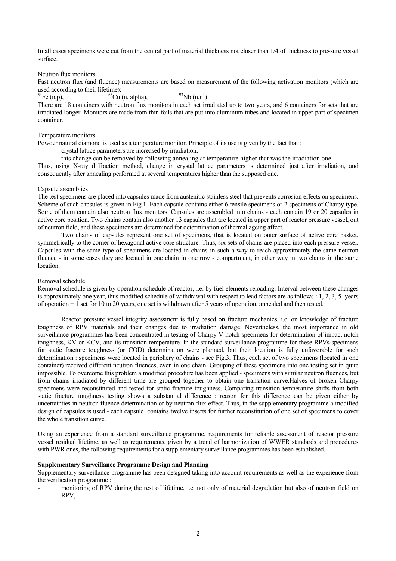In all cases specimens were cut from the central part of material thickness not closer than 1/4 of thickness to pressure vessel surface.

### Neutron flux monitors

Fast neutron flux (and fluence) measurements are based on measurement of the following activation monitors (which are used according to their lifetime):<br> ${}^{54}Fe$  (n,p),  ${}^{63}Cu$ 

 $^{63}Cu$  (n, alpha),  $^{93}Nb$  (n,n`) There are 18 containers with neutron flux monitors in each set irradiated up to two years, and 6 containers for sets that are irradiated longer. Monitors are made from thin foils that are put into aluminum tubes and located in upper part of specimen container.

# Temperature monitors

Powder natural diamond is used as a temperature monitor. Principle of its use is given by the fact that :

- crystal lattice parameters are increased by irradiation,
- this change can be removed by following annealing at temperature higher that was the irradiation one.

Thus, using X-ray diffraction method, change in crystal lattice parameters is determined just after irradiation, and consequently after annealing performed at several temperatures higher than the supposed one.

### Capsule assemblies

The test specimens are placed into capsules made from austenitic stainless steel that prevents corrosion effects on specimens. Scheme of such capsules is given in Fig.1. Each capsule contains either 6 tensile specimens or 2 specimens of Charpy type. Some of them contain also neutron flux monitors. Capsules are assembled into chains - each contain 19 or 20 capsules in active core position. Two chains contain also another 13 capsules that are located in upper part of reactor pressure vessel, out of neutron field, and these specimens are determined for determination of thermal ageing affect.

Two chains of capsules represent one set of specimens, that is located on outer surface of active core basket, symmetrically to the corner of hexagonal active core structure. Thus, six sets of chains are placed into each pressure vessel. Capsules with the same type of specimens are located in chains in such a way to reach approximately the same neutron fluence - in some cases they are located in one chain in one row - compartment, in other way in two chains in the same **location** 

### Removal schedule

Removal schedule is given by operation schedule of reactor, i.e. by fuel elements reloading. Interval between these changes is approximately one year, thus modified schedule of withdrawal with respect to lead factors are as follows : 1, 2, 3, 5 years of operation + 1 set for 10 to 20 years, one set is withdrawn after 5 years of operation, annealed and then tested.

Reactor pressure vessel integrity assessment is fully based on fracture mechanics, i.e. on knowledge of fracture toughness of RPV materials and their changes due to irradiation damage. Nevertheless, the most importance in old surveillance programmes has been concentrated in testing of Charpy V-notch specimens for determination of impact notch toughness, KV or KCV, and its transition temperature. In the standard surveillance programme for these RPVs specimens for static fracture toughness (or COD) determination were planned, but their location is fully unfavorable for such determination : specimens were located in periphery of chains - see Fig.3. Thus, each set of two specimens (located in one container) received different neutron fluences, even in one chain. Grouping of these specimens into one testing set in quite impossible. To overcome this problem a modified procedure has been applied - specimens with similar neutron fluences, but from chains irradiated by different time are grouped together to obtain one transition curve.Halves of broken Charpy specimens were reconstituted and tested for static fracture toughness. Comparing transition temperature shifts from both static fracture toughness testing shows a substantial difference : reason for this difference can be given either by uncertainties in neutron fluence determination or by neutron flux effect. Thus, in the supplementary programme a modified design of capsules is used - each capsule contains twelve inserts for further reconstitution of one set of specimens to cover the whole transition curve.

Using an experience from a standard surveillance programme, requirements for reliable assessment of reactor pressure vessel residual lifetime, as well as requirements, given by a trend of harmonization of WWER standards and procedures with PWR ones, the following requirements for a supplementary surveillance programmes has been established.

### **Supplementary Surveillance Programme Design and Planning**

Supplementary surveillance programme has been designed taking into account requirements as well as the experience from the verification programme :

- monitoring of RPV during the rest of lifetime, i.e. not only of material degradation but also of neutron field on RPV,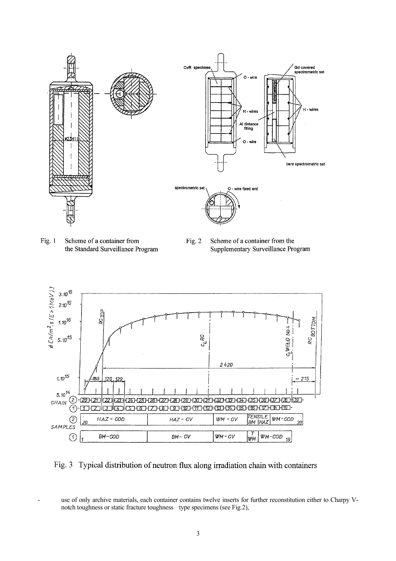

Fig.  $1$ Scheme of a container from the Standard Surveillance Program

Fig.  $2$ Scheme of a container from the Supplementary Surveillance Program



Fig. 3 Typical distribution of neutron flux along irradiation chain with containers

use of only archive materials, each container contains twelve inserts for further reconstitution either to Charpy Vnotch toughness or static fracture toughness type specimens (see Fig.2),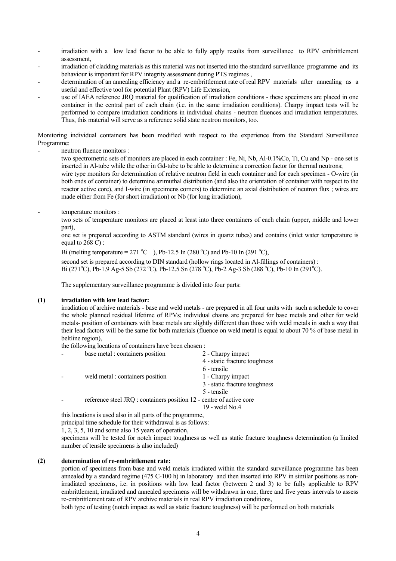- irradiation with a low lead factor to be able to fully apply results from surveillance to RPV embrittlement assessment,
- irradiation of cladding materials as this material was not inserted into the standard surveillance programme and its behaviour is important for RPV integrity assessment during PTS regimes ,
- determination of an annealing efficiency and a re-embrittlement rate of real RPV materials after annealing as a useful and effective tool for potential Plant (RPV) Life Extension,
- use of IAEA reference JRO material for qualification of irradiation conditions these specimens are placed in one container in the central part of each chain (i.e. in the same irradiation conditions). Charpy impact tests will be performed to compare irradiation conditions in individual chains - neutron fluences and irradiation temperatures. Thus, this material will serve as a reference solid state neutron monitors, too.

Monitoring individual containers has been modified with respect to the experience from the Standard Surveillance Programme:

neutron fluence monitors :

two spectrometric sets of monitors are placed in each container : Fe, Ni, Nb, Al-0.1%Co, Ti, Cu and Np - one set is inserted in Al-tube while the other in Gd-tube to be able to determine a correction factor for thermal neutrons; wire type monitors for determination of relative neutron field in each container and for each specimen - O-wire (in

both ends of container) to determine azimuthal distribution (and also the orientation of container with respect to the reactor active core), and I-wire (in specimens corners) to determine an axial distribution of neutron flux ; wires are made either from Fe (for short irradiation) or Nb (for long irradiation),

temperature monitors :

two sets of temperature monitors are placed at least into three containers of each chain (upper, middle and lower part),

one set is prepared according to ASTM standard (wires in quartz tubes) and contains (inlet water temperature is equal to 268 C) :

Bi (melting temperature = 271 °C ), Pb-12.5 In (280 °C) and Pb-10 In (291 °C),

second set is prepared according to DIN standard (hollow rings located in Al-fillings of containers) : Bi (271<sup>o</sup>C), Pb-1.9 Ag-5 Sb (272<sup>o</sup>C), Pb-12.5 Sn (278<sup>o</sup>C), Pb-2 Ag-3 Sb (288<sup>o</sup>C), Pb-10 In (291<sup>o</sup>C).

The supplementary surveillance programme is divided into four parts:

# **(1) irradiation with low lead factor:**

irradiation of archive materials - base and weld metals - are prepared in all four units with such a schedule to cover the whole planned residual lifetime of RPVs; individual chains are prepared for base metals and other for weld metals- position of containers with base metals are slightly different than those with weld metals in such a way that their lead factors will be the same for both materials (fluence on weld metal is equal to about 70 % of base metal in beltline region),

the following locations of containers have been chosen : - base metal : containers position 2 - Charpy impact

| vase inetal. Containers position                                     | $\angle$ - Charpy impact      |
|----------------------------------------------------------------------|-------------------------------|
|                                                                      | 4 - static fracture toughness |
|                                                                      | 6 - tensile                   |
| weld metal : containers position                                     | 1 - Charpy impact             |
|                                                                      | 3 - static fracture toughness |
|                                                                      | 5 - tensile                   |
| reference steel JRQ : containers position 12 - centre of active core |                               |
|                                                                      | 19 - weld No.4                |

this locations is used also in all parts of the programme,

principal time schedule for their withdrawal is as follows:

1, 2, 3, 5, 10 and some also 15 years of operation,

specimens will be tested for notch impact toughness as well as static fracture toughness determination (a limited number of tensile specimens is also included)

### **(2) determination of re-embrittlement rate:**

portion of specimens from base and weld metals irradiated within the standard surveillance programme has been annealed by a standard regime (475 C-100 h) in laboratory and then inserted into RPV in similar positions as nonirradiated specimens, i.e. in positions with low lead factor (between 2 and 3) to be fully applicable to RPV embrittlement; irradiated and annealed specimens will be withdrawn in one, three and five years intervals to assess re-embrittlement rate of RPV archive materials in real RPV irradiation conditions,

both type of testing (notch impact as well as static fracture toughness) will be performed on both materials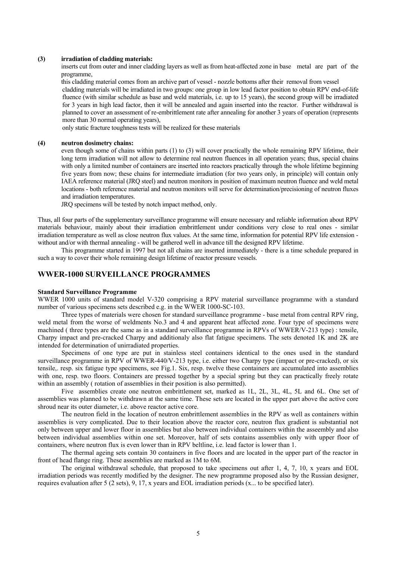#### **(3) irradiation of cladding materials:**

inserts cut from outer and inner cladding layers as well as from heat-affected zone in base metal are part of the programme,

this cladding material comes from an archive part of vessel - nozzle bottoms after their removal from vessel

cladding materials will be irradiated in two groups: one group in low lead factor position to obtain RPV end-of-life fluence (with similar schedule as base and weld materials, i.e. up to 15 years), the second group will be irradiated for 3 years in high lead factor, then it will be annealed and again inserted into the reactor. Further withdrawal is planned to cover an assessment of re-embrittlement rate after annealing for another 3 years of operation (represents more than 30 normal operating years),

only static fracture toughness tests will be realized for these materials

### **(4) neutron dosimetry chains:**

even though some of chains within parts (1) to (3) will cover practically the whole remaining RPV lifetime, their long term irradiation will not allow to determine real neutron fluences in all operation years; thus, special chains with only a limited number of containers are inserted into reactors practically through the whole lifetime beginning five years from now; these chains for intermediate irradiation (for two years only, in principle) will contain only IAEA reference material (JRQ steel) and neutron monitors in position of maximum neutron fluence and weld metal locations - both reference material and neutron monitors will serve for determination/precisioning of neutron fluxes and irradiation temperatures.

JRQ specimens will be tested by notch impact method, only.

Thus, all four parts of the supplementary surveillance programme will ensure necessary and reliable information about RPV materials behaviour, mainly about their irradiation embrittlement under conditions very close to real ones - similar irradiation temperature as well as close neutron flux values. At the same time, information for potential RPV life extension without and/or with thermal annealing - will be gathered well in advance till the designed RPV lifetime.

This programme started in 1997 but not all chains are inserted immediately - there is a time schedule prepared in such a way to cover their whole remaining design lifetime of reactor pressure vessels.

# **WWER-1000 SURVEILLANCE PROGRAMMES**

### **Standard Surveillance Programme**

WWER 1000 units of standard model V-320 comprising a RPV material surveillance programme with a standard number of various specimens sets described e.g. in the WWER 1000-SC-103.

Three types of materials were chosen for standard surveillance programme - base metal from central RPV ring, weld metal from the worse of weldments No.3 and 4 and apparent heat affected zone. Four type of specimens were machined ( three types are the same as in a standard surveillance programme in RPVs of WWER/V-213 type) : tensile, Charpy impact and pre-cracked Charpy and additionaly also flat fatigue specimens. The sets denoted 1K and 2K are intended for determination of unirradiated properties.

Specimens of one type are put in stainless steel containers identical to the ones used in the standard surveillance programme in RPV of WWER-440/V-213 type, i.e. either two Charpy type (impact or pre-cracked), or six tensile,. resp. six fatigue type specimens, see Fig.1. Six, resp. twelve these containers are accumulated into assemblies with one, resp. two floors. Containers are pressed together by a special spring but they can practically freely rotate within an assembly ( rotation of assemblies in their position is also permitted).

Five assemblies create one neutron embrittlement set, marked as 1L, 2L, 3L, 4L, 5L and 6L. One set of assemblies was planned to be withdrawn at the same time. These sets are located in the upper part above the active core shroud near its outer diameter, i.e. above reactor active core.

The neutron field in the location of neutron embrittlement assemblies in the RPV as well as containers within assemblies is very complicated. Due to their location above the reactor core, neutron flux gradient is substantial not only between upper and lower floor in assemblies but also between individual containers within the asseembly and also between individual assemblies within one set. Moreover, half of sets contains assemblies only with upper floor of containers, where neutron flux is even lower than in RPV beltline, i.e. lead factor is lower than 1.

The thermal ageing sets contain 30 containers in five floors and are located in the upper part of the reactor in front of head flange ring. These assemblies are marked as 1M to 6M.

The original withdrawal schedule, that proposed to take specimens out after 1, 4, 7, 10, x years and EOL irradiation periods was recently modified by the designer. The new programme proposed also by the Russian designer, requires evaluation after 5 (2 sets), 9, 17, x years and EOL irradiation periods (x... to be specified later).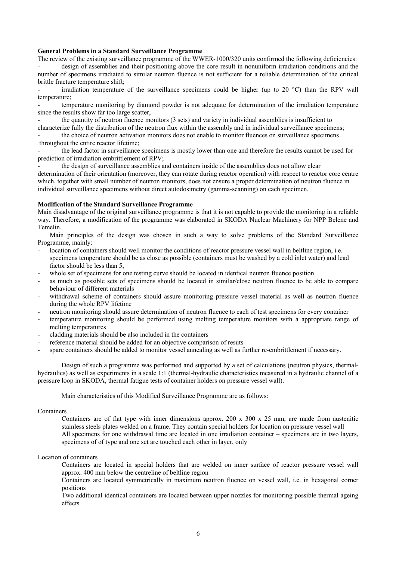# **General Problems in a Standard Surveillance Programme**

The review of the existing surveillance programme of the WWER-1000/320 units confirmed the following deficiencies:

- design of assemblies and their positioning above the core result in nonuniform irradiation conditions and the number of specimens irradiated to similar neutron fluence is not sufficient for a reliable determination of the critical brittle fracture temperature shift;

irradiation temperature of the surveillance specimens could be higher (up to 20  $^{\circ}$ C) than the RPV wall temperature;

- temperature monitoring by diamond powder is not adequate for determination of the irradiation temperature since the results show far too large scatter,

the quantity of neutron fluence monitors (3 sets) and variety in individual assemblies is insufficient to characterize fully the distribution of the neutron flux within the assembly and in individual surveillance specimens; the choice of neutron activation monitors does not enable to monitor fluences on surveillance specimens

 throughout the entire reactor lifetime; - the lead factor in surveillance specimens is mostly lower than one and therefore the results cannot be used for prediction of irradiation embrittlement of RPV;

- the design of surveillance assemblies and containers inside of the assemblies does not allow clear determination of their orientation (moreover, they can rotate during reactor operation) with respect to reactor core centre which, together with small number of neutron monitors, does not ensure a proper determination of neutron fluence in individual surveillance specimens without direct autodosimetry (gamma-scanning) on each specimen.

### **Modification of the Standard Surveillance Programme**

Main disadvantage of the original surveillance programme is that it is not capable to provide the monitoring in a reliable way. Therefore, a modification of the programme was elaborated in SKODA Nuclear Machinery for NPP Belene and Temelin.

Main principles of the design was chosen in such a way to solve problems of the Standard Surveillance Programme, mainly:

- location of containers should well monitor the conditions of reactor pressure vessel wall in beltline region, i.e. specimens temperature should be as close as possible (containers must be washed by a cold inlet water) and lead factor should be less than 5,
- whole set of specimens for one testing curve should be located in identical neutron fluence position
- as much as possible sets of specimens should be located in similar/close neutron fluence to be able to compare behaviour of different materials
- withdrawal scheme of containers should assure monitoring pressure vessel material as well as neutron fluence during the whole RPV lifetime
- neutron monitoring should assure determination of neutron fluence to each of test specimens for every container
- temperature monitoring should be performed using melting temperature monitors with a appropriate range of melting temperatures
- cladding materials should be also included in the containers
- reference material should be added for an objective comparison of resuts
- spare containers should be added to monitor vessel annealing as well as further re-embrittlement if necessary.

Design of such a programme was performed and supported by a set of calculations (neutron physics, thermalhydraulics) as well as experiments in a scale 1:1 (thermal-hydraulic characteristics measured in a hydraulic channel of a pressure loop in SKODA, thermal fatigue tests of container holders on pressure vessel wall).

Main characteristics of this Modified Surveillance Programme are as follows:

### Containers

Containers are of flat type with inner dimensions approx. 200 x 300 x 25 mm, are made from austenitic stainless steels plates welded on a frame. They contain special holders for location on pressure vessel wall All specimens for one withdrawal time are located in one irradiation container – specimens are in two layers, specimens of of type and one set are touched each other in layer, only

### Location of containers

Containers are located in special holders that are welded on inner surface of reactor pressure vessel wall approx. 400 mm below the centreline of beltline region

Containers are located symmetrically in maximum neutron fluence on vessel wall, i.e. in hexagonal corner positions

Two additional identical containers are located between upper nozzles for monitoring possible thermal ageing effects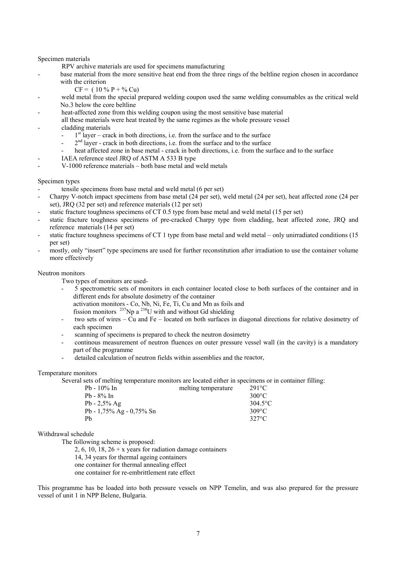# Specimen materials

RPV archive materials are used for specimens manufacturing

- base material from the more sensitive heat end from the three rings of the beltline region chosen in accordance with the criterion
	- $CF = (10\% P + \% Cu)$
- weld metal from the special prepared welding coupon used the same welding consumables as the critical weld No.3 below the core beltline
- heat-affected zone from this welding coupon using the most sensitive base material

all these materials were heat treated by the same regimes as the whole pressure vessel

- cladding materials
	- $1<sup>st</sup>$  layer crack in both directions, i.e. from the surface and to the surface
	- $2<sup>nd</sup>$  layer crack in both directions, i.e. from the surface and to the surface
	- heat affected zone in base metal crack in both directions, i.e. from the surface and to the surface
	- IAEA reference steel JRO of ASTM A 533 B type
- V-1000 reference materials both base metal and weld metals

### Specimen types

- tensile specimens from base metal and weld metal (6 per set)
- Charpy V-notch impact specimens from base metal (24 per set), weld metal (24 per set), heat affected zone (24 per set), JRQ (32 per set) and reference materials (12 per set)
- static fracture toughness specimens of CT 0.5 type from base metal and weld metal (15 per set)
- static fracture toughness specimens of pre-cracked Charpy type from cladding, heat affected zone, JRQ and reference materials (14 per set)
- static fracture toughness specimens of CT 1 type from base metal and weld metal only unirradiated conditions (15 per set)
- mostly, only "insert" type specimens are used for further reconstitution after irradiation to use the container volume more effectively

# Neutron monitors

Two types of monitors are used-

- 5 spectrometric sets of monitors in each container located close to both surfaces of the container and in different ends for absolute dosimetry of the container
	- activation monitors Co, Nb, Ni, Fe, Ti, Cu and Mn as foils and
- fission monitors  $^{237}$ Np a  $^{238}$ U with and without Gd shielding
- two sets of wires Cu and Fe located on both surfaces in diagonal directions for relative dosimetry of each specimen
- scanning of specimens is prepared to check the neutron dosimetry
- continous measurement of neutron fluences on outer pressure vessel wall (in the cavity) is a mandatory part of the programme
- detailed calculation of neutron fields within assemblies and the reactor,

### Temperature monitors

Several sets of melting temperature monitors are located either in specimens or in container filling:

| $Pb - 10\%$ In           | melting temperature | $291^{\circ}$ C |
|--------------------------|---------------------|-----------------|
| $Pb - 8\%$ In            |                     | $300^{\circ}$ C |
| $Pb - 2.5\%$ Ag          |                     | $304.5$ °C      |
| Pb - 1,75% Ag - 0,75% Sn |                     | $309^{\circ}$ C |
| Ph                       |                     | $327^{\circ}$ C |

# Withdrawal schedule

The following scheme is proposed:

2, 6, 10, 18,  $26 + x$  years for radiation damage containers

14, 34 years for thermal ageing containers

one container for thermal annealing effect

one container for re-embrittlement rate effect

This programme has be loaded into both pressure vessels on NPP Temelin, and was also prepared for the pressure vessel of unit 1 in NPP Belene, Bulgaria.